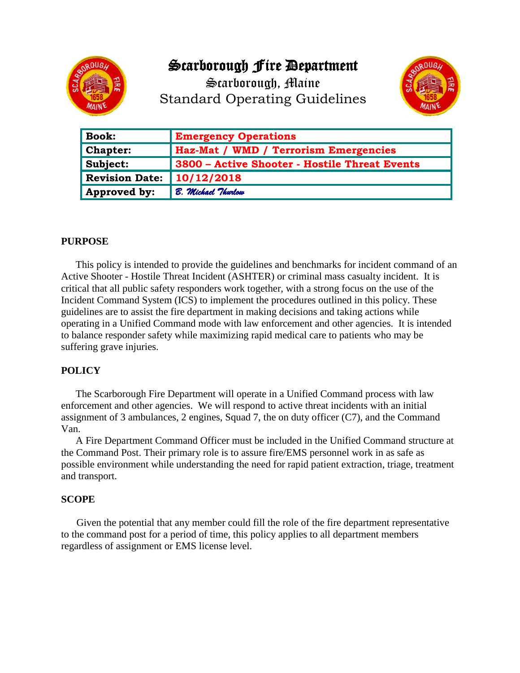

# Scarborough Fire Department

Scarborough, Maine Standard Operating Guidelines



| <b>Book:</b>          | <b>Emergency Operations</b>                   |
|-----------------------|-----------------------------------------------|
| <b>Chapter:</b>       | Haz-Mat / WMD / Terrorism Emergencies         |
| Subject:              | 3800 - Active Shooter - Hostile Threat Events |
| <b>Revision Date:</b> | 10/12/2018                                    |
| Approved by:          | B. Michael Thurlow                            |

#### **PURPOSE**

This policy is intended to provide the guidelines and benchmarks for incident command of an Active Shooter - Hostile Threat Incident (ASHTER) or criminal mass casualty incident. It is critical that all public safety responders work together, with a strong focus on the use of the Incident Command System (ICS) to implement the procedures outlined in this policy. These guidelines are to assist the fire department in making decisions and taking actions while operating in a Unified Command mode with law enforcement and other agencies. It is intended to balance responder safety while maximizing rapid medical care to patients who may be suffering grave injuries.

#### **POLICY**

The Scarborough Fire Department will operate in a Unified Command process with law enforcement and other agencies. We will respond to active threat incidents with an initial assignment of 3 ambulances, 2 engines, Squad 7, the on duty officer (C7), and the Command Van.

A Fire Department Command Officer must be included in the Unified Command structure at the Command Post. Their primary role is to assure fire/EMS personnel work in as safe as possible environment while understanding the need for rapid patient extraction, triage, treatment and transport.

#### **SCOPE**

Given the potential that any member could fill the role of the fire department representative to the command post for a period of time, this policy applies to all department members regardless of assignment or EMS license level.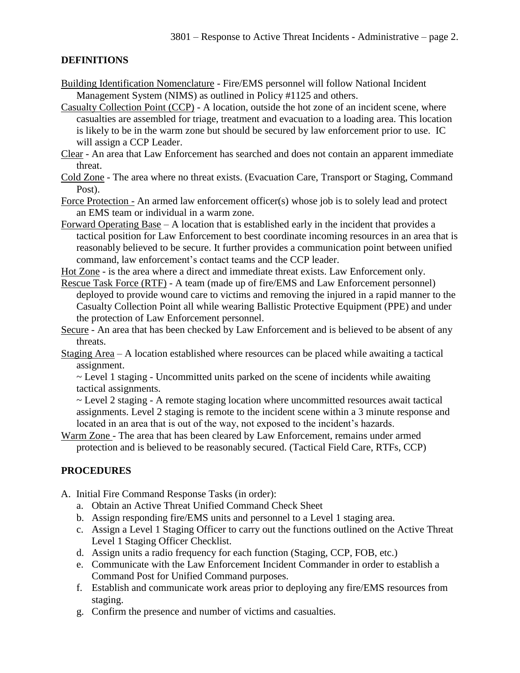#### **DEFINITIONS**

- Building Identification Nomenclature Fire/EMS personnel will follow National Incident Management System (NIMS) as outlined in Policy #1125 and others.
- Casualty Collection Point (CCP) A location, outside the hot zone of an incident scene, where casualties are assembled for triage, treatment and evacuation to a loading area. This location is likely to be in the warm zone but should be secured by law enforcement prior to use. IC will assign a CCP Leader.
- Clear An area that Law Enforcement has searched and does not contain an apparent immediate threat.
- Cold Zone The area where no threat exists. (Evacuation Care, Transport or Staging, Command Post).
- Force Protection An armed law enforcement officer(s) whose job is to solely lead and protect an EMS team or individual in a warm zone.
- Forward Operating Base A location that is established early in the incident that provides a tactical position for Law Enforcement to best coordinate incoming resources in an area that is reasonably believed to be secure. It further provides a communication point between unified command, law enforcement's contact teams and the CCP leader.
- Hot Zone is the area where a direct and immediate threat exists. Law Enforcement only.
- Rescue Task Force (RTF) A team (made up of fire/EMS and Law Enforcement personnel) deployed to provide wound care to victims and removing the injured in a rapid manner to the Casualty Collection Point all while wearing Ballistic Protective Equipment (PPE) and under the protection of Law Enforcement personnel.
- Secure An area that has been checked by Law Enforcement and is believed to be absent of any threats.
- Staging Area A location established where resources can be placed while awaiting a tactical assignment.
	- ~ Level 1 staging Uncommitted units parked on the scene of incidents while awaiting tactical assignments.
	- ~ Level 2 staging A remote staging location where uncommitted resources await tactical assignments. Level 2 staging is remote to the incident scene within a 3 minute response and located in an area that is out of the way, not exposed to the incident's hazards.
- Warm Zone The area that has been cleared by Law Enforcement, remains under armed protection and is believed to be reasonably secured. (Tactical Field Care, RTFs, CCP)

#### **PROCEDURES**

- A. Initial Fire Command Response Tasks (in order):
	- a. Obtain an Active Threat Unified Command Check Sheet
	- b. Assign responding fire/EMS units and personnel to a Level 1 staging area.
	- c. Assign a Level 1 Staging Officer to carry out the functions outlined on the Active Threat Level 1 Staging Officer Checklist.
	- d. Assign units a radio frequency for each function (Staging, CCP, FOB, etc.)
	- e. Communicate with the Law Enforcement Incident Commander in order to establish a Command Post for Unified Command purposes.
	- f. Establish and communicate work areas prior to deploying any fire/EMS resources from staging.
	- g. Confirm the presence and number of victims and casualties.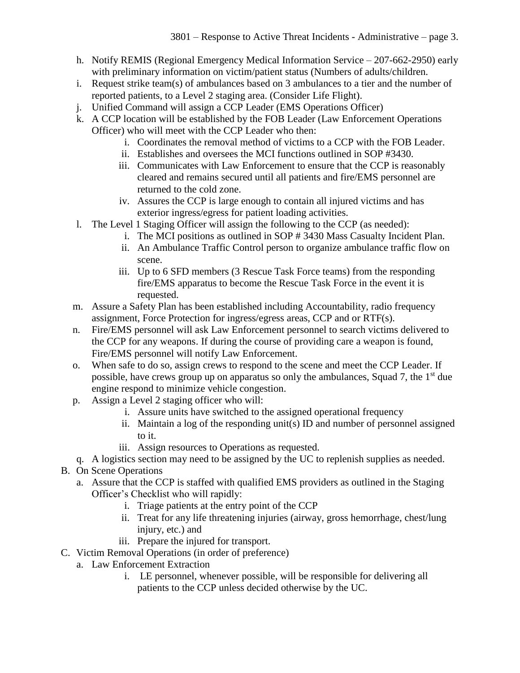- h. Notify REMIS (Regional Emergency Medical Information Service 207-662-2950) early with preliminary information on victim/patient status (Numbers of adults/children.
- i. Request strike team(s) of ambulances based on 3 ambulances to a tier and the number of reported patients, to a Level 2 staging area. (Consider Life Flight).
- j. Unified Command will assign a CCP Leader (EMS Operations Officer)
- k. A CCP location will be established by the FOB Leader (Law Enforcement Operations Officer) who will meet with the CCP Leader who then:
	- i. Coordinates the removal method of victims to a CCP with the FOB Leader.
	- ii. Establishes and oversees the MCI functions outlined in SOP #3430.
	- iii. Communicates with Law Enforcement to ensure that the CCP is reasonably cleared and remains secured until all patients and fire/EMS personnel are returned to the cold zone.
	- iv. Assures the CCP is large enough to contain all injured victims and has exterior ingress/egress for patient loading activities.
- l. The Level 1 Staging Officer will assign the following to the CCP (as needed):
	- i. The MCI positions as outlined in SOP # 3430 Mass Casualty Incident Plan.
	- ii. An Ambulance Traffic Control person to organize ambulance traffic flow on scene.
	- iii. Up to 6 SFD members (3 Rescue Task Force teams) from the responding fire/EMS apparatus to become the Rescue Task Force in the event it is requested.
- m. Assure a Safety Plan has been established including Accountability, radio frequency assignment, Force Protection for ingress/egress areas, CCP and or RTF(s).
- n. Fire/EMS personnel will ask Law Enforcement personnel to search victims delivered to the CCP for any weapons. If during the course of providing care a weapon is found, Fire/EMS personnel will notify Law Enforcement.
- o. When safe to do so, assign crews to respond to the scene and meet the CCP Leader. If possible, have crews group up on apparatus so only the ambulances, Squad 7, the  $1<sup>st</sup>$  due engine respond to minimize vehicle congestion.
- p. Assign a Level 2 staging officer who will:
	- i. Assure units have switched to the assigned operational frequency
	- ii. Maintain a log of the responding unit(s) ID and number of personnel assigned to it.
	- iii. Assign resources to Operations as requested.
- q. A logistics section may need to be assigned by the UC to replenish supplies as needed.
- B. On Scene Operations
	- a. Assure that the CCP is staffed with qualified EMS providers as outlined in the Staging Officer's Checklist who will rapidly:
		- i. Triage patients at the entry point of the CCP
		- ii. Treat for any life threatening injuries (airway, gross hemorrhage, chest/lung injury, etc.) and
		- iii. Prepare the injured for transport.
- C. Victim Removal Operations (in order of preference)
	- a. Law Enforcement Extraction
		- i. LE personnel, whenever possible, will be responsible for delivering all patients to the CCP unless decided otherwise by the UC.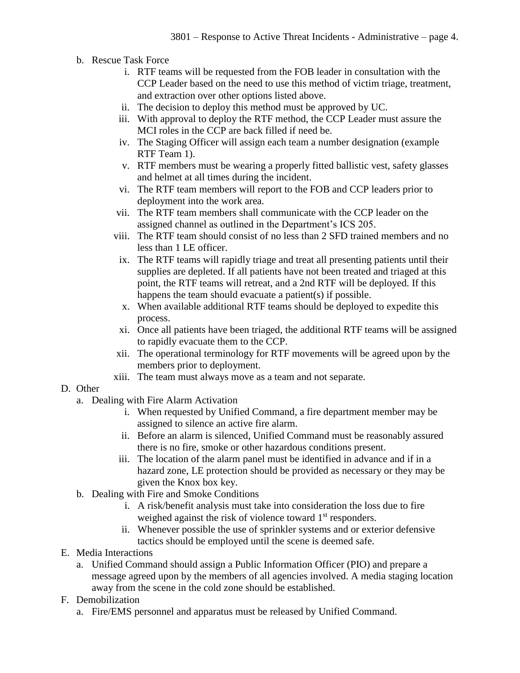- b. Rescue Task Force
	- i. RTF teams will be requested from the FOB leader in consultation with the CCP Leader based on the need to use this method of victim triage, treatment, and extraction over other options listed above.
	- ii. The decision to deploy this method must be approved by UC.
	- iii. With approval to deploy the RTF method, the CCP Leader must assure the MCI roles in the CCP are back filled if need be.
	- iv. The Staging Officer will assign each team a number designation (example RTF Team 1).
	- v. RTF members must be wearing a properly fitted ballistic vest, safety glasses and helmet at all times during the incident.
	- vi. The RTF team members will report to the FOB and CCP leaders prior to deployment into the work area.
	- vii. The RTF team members shall communicate with the CCP leader on the assigned channel as outlined in the Department's ICS 205.
	- viii. The RTF team should consist of no less than 2 SFD trained members and no less than 1 LE officer.
	- ix. The RTF teams will rapidly triage and treat all presenting patients until their supplies are depleted. If all patients have not been treated and triaged at this point, the RTF teams will retreat, and a 2nd RTF will be deployed. If this happens the team should evacuate a patient(s) if possible.
	- x. When available additional RTF teams should be deployed to expedite this process.
	- xi. Once all patients have been triaged, the additional RTF teams will be assigned to rapidly evacuate them to the CCP.
	- xii. The operational terminology for RTF movements will be agreed upon by the members prior to deployment.
	- xiii. The team must always move as a team and not separate.

#### D. Other

- a. Dealing with Fire Alarm Activation
	- i. When requested by Unified Command, a fire department member may be assigned to silence an active fire alarm.
	- ii. Before an alarm is silenced, Unified Command must be reasonably assured there is no fire, smoke or other hazardous conditions present.
	- iii. The location of the alarm panel must be identified in advance and if in a hazard zone, LE protection should be provided as necessary or they may be given the Knox box key.
- b. Dealing with Fire and Smoke Conditions
	- i. A risk/benefit analysis must take into consideration the loss due to fire weighed against the risk of violence toward  $1<sup>st</sup>$  responders.
	- ii. Whenever possible the use of sprinkler systems and or exterior defensive tactics should be employed until the scene is deemed safe.
- E. Media Interactions
	- a. Unified Command should assign a Public Information Officer (PIO) and prepare a message agreed upon by the members of all agencies involved. A media staging location away from the scene in the cold zone should be established.
- F. Demobilization
	- a. Fire/EMS personnel and apparatus must be released by Unified Command.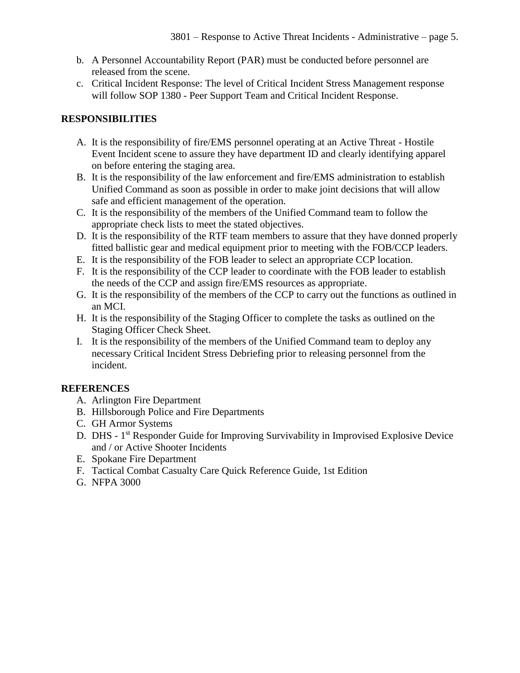- b. A Personnel Accountability Report (PAR) must be conducted before personnel are released from the scene.
- c. Critical Incident Response: The level of Critical Incident Stress Management response will follow SOP 1380 - Peer Support Team and Critical Incident Response.

### **RESPONSIBILITIES**

- A. It is the responsibility of fire/EMS personnel operating at an Active Threat Hostile Event Incident scene to assure they have department ID and clearly identifying apparel on before entering the staging area.
- B. It is the responsibility of the law enforcement and fire/EMS administration to establish Unified Command as soon as possible in order to make joint decisions that will allow safe and efficient management of the operation.
- C. It is the responsibility of the members of the Unified Command team to follow the appropriate check lists to meet the stated objectives.
- D. It is the responsibility of the RTF team members to assure that they have donned properly fitted ballistic gear and medical equipment prior to meeting with the FOB/CCP leaders.
- E. It is the responsibility of the FOB leader to select an appropriate CCP location.
- F. It is the responsibility of the CCP leader to coordinate with the FOB leader to establish the needs of the CCP and assign fire/EMS resources as appropriate.
- G. It is the responsibility of the members of the CCP to carry out the functions as outlined in an MCI.
- H. It is the responsibility of the Staging Officer to complete the tasks as outlined on the Staging Officer Check Sheet.
- I. It is the responsibility of the members of the Unified Command team to deploy any necessary Critical Incident Stress Debriefing prior to releasing personnel from the incident.

### **REFERENCES**

- A. Arlington Fire Department
- B. Hillsborough Police and Fire Departments
- C. GH Armor Systems
- D. DHS 1<sup>st</sup> Responder Guide for Improving Survivability in Improvised Explosive Device and / or Active Shooter Incidents
- E. Spokane Fire Department
- F. Tactical Combat Casualty Care Quick Reference Guide, 1st Edition
- G. NFPA 3000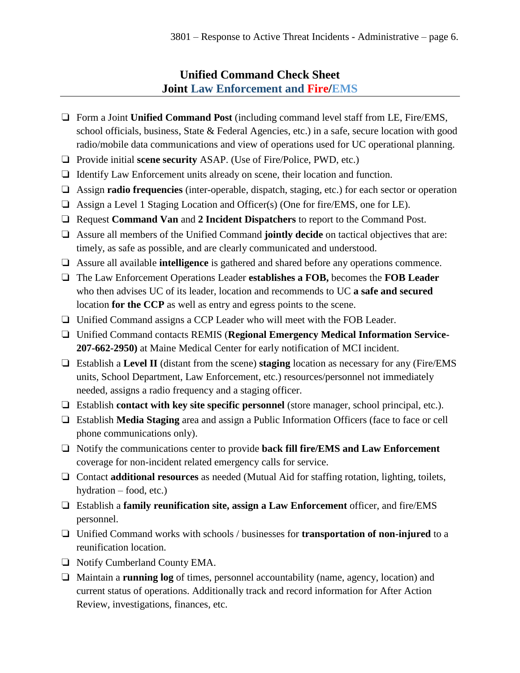## **Unified Command Check Sheet Joint Law Enforcement and Fire/EMS**

- ❏ Form a Joint **Unified Command Post** (including command level staff from LE, Fire/EMS, school officials, business, State & Federal Agencies, etc.) in a safe, secure location with good radio/mobile data communications and view of operations used for UC operational planning.
- ❏ Provide initial **scene security** ASAP. (Use of Fire/Police, PWD, etc.)
- ❏ Identify Law Enforcement units already on scene, their location and function.
- ❏ Assign **radio frequencies** (inter-operable, dispatch, staging, etc.) for each sector or operation
- ❏ Assign a Level 1 Staging Location and Officer(s) (One for fire/EMS, one for LE).
- ❏ Request **Command Van** and **2 Incident Dispatchers** to report to the Command Post.
- ❏ Assure all members of the Unified Command **jointly decide** on tactical objectives that are: timely, as safe as possible, and are clearly communicated and understood.
- ❏ Assure all available **intelligence** is gathered and shared before any operations commence.
- ❏ The Law Enforcement Operations Leader **establishes a FOB,** becomes the **FOB Leader** who then advises UC of its leader, location and recommends to UC **a safe and secured** location **for the CCP** as well as entry and egress points to the scene.
- ❏ Unified Command assigns a CCP Leader who will meet with the FOB Leader.
- ❏ Unified Command contacts REMIS (**Regional Emergency Medical Information Service-207-662-2950)** at Maine Medical Center for early notification of MCI incident.
- ❏ Establish a **Level II** (distant from the scene) **staging** location as necessary for any (Fire/EMS units, School Department, Law Enforcement, etc.) resources/personnel not immediately needed, assigns a radio frequency and a staging officer.
- ❏ Establish **contact with key site specific personnel** (store manager, school principal, etc.).
- ❏ Establish **Media Staging** area and assign a Public Information Officers (face to face or cell phone communications only).
- ❏ Notify the communications center to provide **back fill fire/EMS and Law Enforcement** coverage for non-incident related emergency calls for service.
- ❏ Contact **additional resources** as needed (Mutual Aid for staffing rotation, lighting, toilets, hydration – food, etc.)
- ❏ Establish a **family reunification site, assign a Law Enforcement** officer, and fire/EMS personnel.
- ❏ Unified Command works with schools / businesses for **transportation of non-injured** to a reunification location.
- ❏ Notify Cumberland County EMA.
- ❏ Maintain a **running log** of times, personnel accountability (name, agency, location) and current status of operations. Additionally track and record information for After Action Review, investigations, finances, etc.